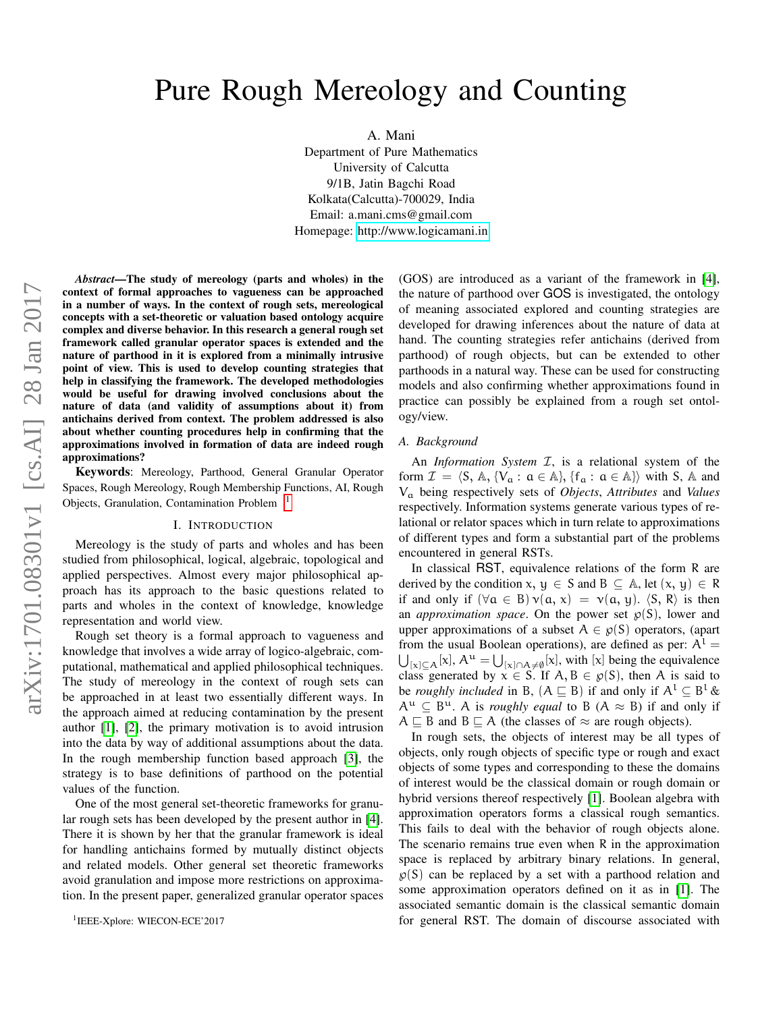# Pure Rough Mereology and Counting

A. Mani

Department of Pure Mathematics University of Calcutta 9/1B, Jatin Bagchi Road Kolkata(Calcutta)-700029, India Email: a.mani.cms@gmail.com Homepage:<http://www.logicamani.in>

*Abstract*—The study of mereology (parts and wholes) in the context of formal approaches to vagueness can be approached in a number of ways. In the context of rough sets, mereological concepts with a set-theoretic or valuation based ontology acquire complex and diverse behavior. In this research a general rough set framework called granular operator spaces is extended and the nature of parthood in it is explored from a minimally intrusive point of view. This is used to develop counting strategies that help in classifying the framework. The developed methodologies would be useful for drawing involved conclusions about the nature of data (and validity of assumptions about it) from antichains derived from context. The problem addressed is also about whether counting procedures help in confirming that the approximations involved in formation of data are indeed rough approximations?

Keywords: Mereology, Parthood, General Granular Operator Spaces, Rough Mereology, Rough Membership Functions, AI, Rough Objects, Granulation, Contamination Problem  $1$ 

## I. INTRODUCTION

Mereology is the study of parts and wholes and has been studied from philosophical, logical, algebraic, topological and applied perspectives. Almost every major philosophical approach has its approach to the basic questions related to parts and wholes in the context of knowledge, knowledge representation and world view.

Rough set theory is a formal approach to vagueness and knowledge that involves a wide array of logico-algebraic, computational, mathematical and applied philosophical techniques. The study of mereology in the context of rough sets can be approached in at least two essentially different ways. In the approach aimed at reducing contamination by the present author [\[1\]](#page-3-0), [\[2\]](#page-3-1), the primary motivation is to avoid intrusion into the data by way of additional assumptions about the data. In the rough membership function based approach [\[3\]](#page-3-2), the strategy is to base definitions of parthood on the potential values of the function.

<span id="page-0-0"></span>One of the most general set-theoretic frameworks for granular rough sets has been developed by the present author in [\[4\]](#page-3-3). There it is shown by her that the granular framework is ideal for handling antichains formed by mutually distinct objects and related models. Other general set theoretic frameworks avoid granulation and impose more restrictions on approximation. In the present paper, generalized granular operator spaces (GOS) are introduced as a variant of the framework in [\[4\]](#page-3-3), the nature of parthood over GOS is investigated, the ontology of meaning associated explored and counting strategies are developed for drawing inferences about the nature of data at hand. The counting strategies refer antichains (derived from parthood) of rough objects, but can be extended to other parthoods in a natural way. These can be used for constructing models and also confirming whether approximations found in practice can possibly be explained from a rough set ontology/view.

# <span id="page-0-1"></span>*A. Background*

An *Information System I*, is a relational system of the form  $\mathcal{I} = \langle S, \mathbb{A}, \{V_{\alpha} : \alpha \in \mathbb{A}\}, \{f_{\alpha} : \alpha \in \mathbb{A}\}\rangle$  with S, A and V<sup>a</sup> being respectively sets of *Objects*, *Attributes* and *Values* respectively. Information systems generate various types of relational or relator spaces which in turn relate to approximations of different types and form a substantial part of the problems encountered in general RSTs.

In classical RST, equivalence relations of the form R are derived by the condition  $x, y \in S$  and  $B \subseteq A$ , let  $(x, y) \in R$ if and only if  $(\forall a \in B) \nu(a, x) = \nu(a, y)$ .  $\langle S, R \rangle$  is then an *approximation space*. On the power set  $\mathcal{D}(S)$ , lower and upper approximations of a subset  $A \in \mathcal{P}(S)$  operators, (apart from the usual Boolean operations), are defined as per:  $A^1 =$  $\bigcup_{[x]\subseteq A} [x]$ ,  $A^u = \bigcup_{[x]\cap A \neq \emptyset} [x]$ , with  $[x]$  being the equivalence class generated by  $x \in S$ . If  $A, B \in \mathcal{P}(S)$ , then A is said to be *roughly included* in B,  $(A \sqsubseteq B)$  if and only if  $A^1 \subseteq B^1$  &  $A^{\mu} \subseteq B^{\mu}$ . A is *roughly equal* to B ( $A \approx B$ ) if and only if  $A \sqsubset B$  and  $B \sqsubset A$  (the classes of  $\approx$  are rough objects).

In rough sets, the objects of interest may be all types of objects, only rough objects of specific type or rough and exact objects of some types and corresponding to these the domains of interest would be the classical domain or rough domain or hybrid versions thereof respectively [\[1\]](#page-3-0). Boolean algebra with approximation operators forms a classical rough semantics. This fails to deal with the behavior of rough objects alone. The scenario remains true even when R in the approximation space is replaced by arbitrary binary relations. In general,  $\mathfrak{g}(S)$  can be replaced by a set with a parthood relation and some approximation operators defined on it as in [\[1\]](#page-3-0). The associated semantic domain is the classical semantic domain for general RST. The domain of discourse associated with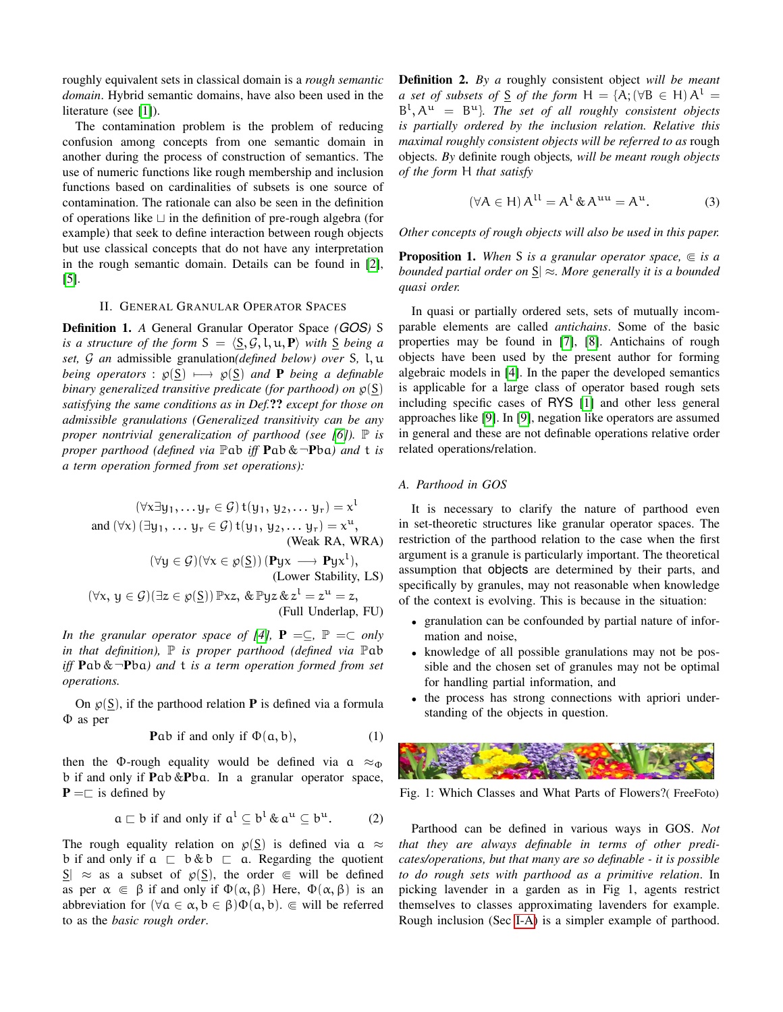roughly equivalent sets in classical domain is a *rough semantic domain*. Hybrid semantic domains, have also been used in the literature (see [\[1\]](#page-3-0)).

The contamination problem is the problem of reducing confusion among concepts from one semantic domain in another during the process of construction of semantics. The use of numeric functions like rough membership and inclusion functions based on cardinalities of subsets is one source of contamination. The rationale can also be seen in the definition of operations like  $\sqcup$  in the definition of pre-rough algebra (for example) that seek to define interaction between rough objects but use classical concepts that do not have any interpretation in the rough semantic domain. Details can be found in [\[2\]](#page-3-1), [\[5\]](#page-4-0).

#### II. GENERAL GRANULAR OPERATOR SPACES

Definition 1. *A* General Granular Operator Space *(GOS)* S *is a structure of the form*  $S = \langle S, \mathcal{G}, \mathcal{L}, \mathcal{U}, \mathbf{P} \rangle$  *with* S *being a set,* G *an* admissible granulation*(defined below) over* S*,* l, u *being operators* :  $\varphi(S) \longmapsto \varphi(S)$  *and* **P** *being a definable binary generalized transitive predicate (for parthood) on*  $\wp(S)$ *satisfying the same conditions as in Def.*?? *except for those on admissible granulations (Generalized transitivity can be any proper nontrivial generalization of parthood (see [\[6\]](#page-4-1)).* P *is proper parthood (defined via* Pab *iff* Pab & ¬Pba*) and* t *is a term operation formed from set operations):*

$$
(\forall x \exists y_1, \dots y_r \in \mathcal{G}) t(y_1, y_2, \dots y_r) = x^l
$$
  
and  $(\forall x) (\exists y_1, \dots y_r \in \mathcal{G}) t(y_1, y_2, \dots y_r) = x^u$ ,  
(Weak RA, WRA)  

$$
(\forall y \in \mathcal{G}) (\forall x \in \wp(\underline{S})) (\mathbf{P} yx \longrightarrow \mathbf{P} yx^l),
$$
(Lower Stability, LS)  

$$
(\forall x, y \in \mathcal{G}) (\exists z \in \wp(\underline{S})) \mathbb{P} xz, \& \mathbb{P} yz \& z^l = z^u = z,
$$
(Full Underlap, FU)  

$$
f(x) = \sum_{x \in \mathcal{G}} \mathbb{P} x \in \mathcal{G} x
$$

*In the granular operator space of [\[4\]](#page-3-3),*  $P = \subseteq$ ,  $\mathbb{P} = \subset$  *only in that definition),* P *is proper parthood (defined via* Pab *iff* Pab & ¬Pba*) and* t *is a term operation formed from set operations.*

On  $\varphi(S)$ , if the parthood relation **P** is defined via a formula Φ as per

**Pa**b if and only if 
$$
\Phi(a, b)
$$
,  $(1)$ 

then the Φ-rough equality would be defined via  $\alpha \approx_{\Phi}$ b if and only if Pab &Pba. In a granular operator space,  $P = \square$  is defined by

$$
a \sqsubset b \text{ if and only if } a^l \subseteq b^l \& a^u \subseteq b^u. \tag{2}
$$

The rough equality relation on  $\mathcal{P}(\underline{S})$  is defined via a  $\approx$ b if and only if  $a \sqsubset b \& b \sqsubset a$ . Regarding the quotient  $\vert S \vert \approx$  as a subset of  $\mathcal{P}(S)$ , the order  $\in$  will be defined as per  $\alpha \in \beta$  if and only if  $\Phi(\alpha, \beta)$  Here,  $\Phi(\alpha, \beta)$  is an abbreviation for  $(\forall a \in \alpha, b \in \beta) \Phi(a, b)$ .  $\in$  will be referred to as the *basic rough order*.

Definition 2. *By a* roughly consistent object *will be meant a set of subsets of*  $\underline{S}$  *of the form*  $H = \{A; (\forall B \in H) A^L =$  $B^1, A^u = B^u$ *). The set of all roughly consistent objects is partially ordered by the inclusion relation. Relative this maximal roughly consistent objects will be referred to as* rough objects*. By* definite rough objects*, will be meant rough objects of the form* H *that satisfy*

$$
(\forall A \in H) A^{ll} = A^{l} \& A^{uu} = A^{u}.
$$
 (3)

*Other concepts of rough objects will also be used in this paper.*

**Proposition 1.** When S is a granular operator space,  $\in$  is a *bounded partial order on* S| ≈*. More generally it is a bounded quasi order.*

In quasi or partially ordered sets, sets of mutually incomparable elements are called *antichains*. Some of the basic properties may be found in [\[7\]](#page-4-2), [\[8\]](#page-4-3). Antichains of rough objects have been used by the present author for forming algebraic models in [\[4\]](#page-3-3). In the paper the developed semantics is applicable for a large class of operator based rough sets including specific cases of RYS [\[1\]](#page-3-0) and other less general approaches like [\[9\]](#page-4-4). In [\[9\]](#page-4-4), negation like operators are assumed in general and these are not definable operations relative order related operations/relation.

## *A. Parthood in GOS*

It is necessary to clarify the nature of parthood even in set-theoretic structures like granular operator spaces. The restriction of the parthood relation to the case when the first argument is a granule is particularly important. The theoretical assumption that objects are determined by their parts, and specifically by granules, may not reasonable when knowledge of the context is evolving. This is because in the situation:

- granulation can be confounded by partial nature of information and noise,
- knowledge of all possible granulations may not be possible and the chosen set of granules may not be optimal for handling partial information, and
- the process has strong connections with apriori understanding of the objects in question.



Fig. 1: Which Classes and What Parts of Flowers?( FreeFoto)

Parthood can be defined in various ways in GOS. *Not that they are always definable in terms of other predicates/operations, but that many are so definable - it is possible to do rough sets with parthood as a primitive relation*. In picking lavender in a garden as in Fig 1, agents restrict themselves to classes approximating lavenders for example. Rough inclusion (Sec [I-A\)](#page-0-1) is a simpler example of parthood.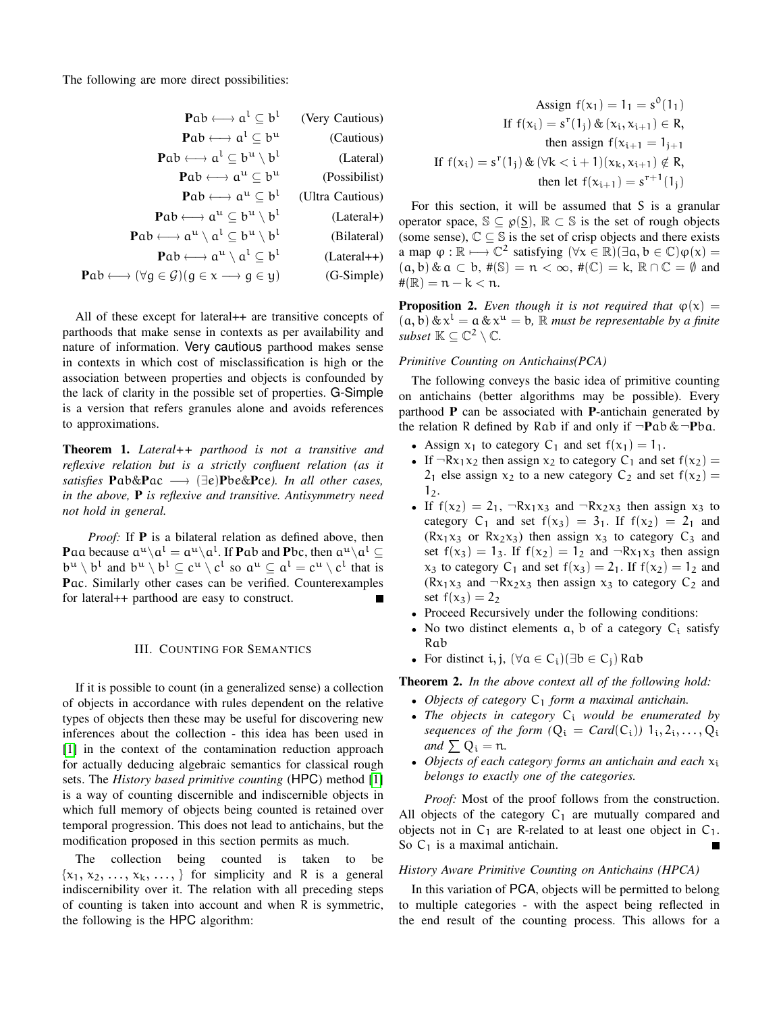The following are more direct possibilities:

| Path                                                                                        | $a^l \subseteq b^l$ | (Very Cautious) |
|---------------------------------------------------------------------------------------------|---------------------|-----------------|
| $Pab \longleftrightarrow a^l \subseteq b^u$                                                 | (Cautious)          |                 |
| $Pab \longleftrightarrow a^l \subseteq b^u \setminus b^l$                                   | (Lateral)           |                 |
| $Pab \longleftrightarrow a^u \subseteq b^u$                                                 | (Possibilist)       |                 |
| $Pab \longleftrightarrow a^u \subseteq b^l$                                                 | (Ultra Cautious)    |                 |
| $Pab \longleftrightarrow a^u \subseteq b^u \setminus b^l$                                   | (Lateral+)          |                 |
| $Pab \longleftrightarrow a^u \setminus a^l \subseteq b^u \setminus b^l$                     | (Bilateral)         |                 |
| $Pab \longleftrightarrow a^u \setminus a^l \subseteq b^l$                                   | (Lateral++)         |                 |
| $Pab \longleftrightarrow a^u \setminus a^l \subseteq b^l$                                   | (Lateral++)         |                 |
| $Pab \longleftrightarrow ( \forall g \in \mathcal{G} ) ( g \in x \longrightarrow g \in y )$ | (G-Simple)          |                 |

All of these except for lateral++ are transitive concepts of parthoods that make sense in contexts as per availability and nature of information. Very cautious parthood makes sense in contexts in which cost of misclassification is high or the association between properties and objects is confounded by the lack of clarity in the possible set of properties. G-Simple is a version that refers granules alone and avoids references to approximations.

Theorem 1. *Lateral++ parthood is not a transitive and reflexive relation but is a strictly confluent relation (as it satisfies* <sup>P</sup>ab&Pac <sup>−</sup><sup>→</sup> (∃e)Pbe&Pce*). In all other cases, in the above,* P *is reflexive and transitive. Antisymmetry need not hold in general.*

*Proof:* If P is a bilateral relation as defined above, then **P**aa because  $a^u \backslash a^l = a^u \backslash a^l$ . If **P**ab and **P**bc, then  $a^u \backslash a^l \subseteq$  $b^{\mu} \setminus b^{\mu}$  and  $b^{\mu} \setminus b^{\mu} \subseteq c^{\mu} \setminus c^{\mu}$  so  $a^{\mu} \subseteq a^{\mu} = c^{\mu} \setminus c^{\mu}$  that is Pac. Similarly other cases can be verified. Counterexamples for lateral++ parthood are easy to construct.

#### III. COUNTING FOR SEMANTICS

If it is possible to count (in a generalized sense) a collection of objects in accordance with rules dependent on the relative types of objects then these may be useful for discovering new inferences about the collection - this idea has been used in [\[1\]](#page-3-0) in the context of the contamination reduction approach for actually deducing algebraic semantics for classical rough sets. The *History based primitive counting* (HPC) method [\[1\]](#page-3-0) is a way of counting discernible and indiscernible objects in which full memory of objects being counted is retained over temporal progression. This does not lead to antichains, but the modification proposed in this section permits as much.

The collection being counted is taken to be  $\{x_1, x_2, \ldots, x_k, \ldots, \}$  for simplicity and R is a general indiscernibility over it. The relation with all preceding steps of counting is taken into account and when R is symmetric, the following is the HPC algorithm:

\n
$$
\text{Assign } f(x_1) = 1_1 = s^0(1_1)
$$
\n

\n\n $\text{If } f(x_i) = s^r(1_j) \& (x_i, x_{i+1}) \in \mathbb{R},$ \n

\n\n $\text{then assign } f(x_{i+1} = 1_{j+1})$ \n

\n\n $\text{If } f(x_i) = s^r(1_j) \& (\forall k < i+1)(x_k, x_{i+1}) \notin \mathbb{R},$ \n

\n\n $\text{then let } f(x_{i+1}) = s^{r+1}(1_j)$ \n

For this section, it will be assumed that S is a granular operator space,  $\mathbb{S} \subseteq \varphi(S)$ ,  $\mathbb{R} \subset \mathbb{S}$  is the set of rough objects (some sense),  $\mathbb{C} \subseteq \mathbb{S}$  is the set of crisp objects and there exists a map  $\varphi : \mathbb{R} \longrightarrow \mathbb{C}^2$  satisfying  $(\forall x \in \mathbb{R})(\exists a, b \in \mathbb{C})\varphi(x) =$  $(a, b)$  &  $a \subset b$ ,  $\#(\mathbb{S}) = n < \infty$ ,  $\#(\mathbb{C}) = k$ ,  $\mathbb{R} \cap \mathbb{C} = \emptyset$  and  $\#(\mathbb{R}) = n - k < n.$ 

**Proposition 2.** *Even though it is not required that*  $\varphi(x) =$  $(a, b)$  &  $x^1 = a$  &  $x^u = b$ ,  $\mathbb R$  *must be representable by a finite subset*  $\mathbb{K} \subseteq \mathbb{C}^2 \setminus \mathbb{C}$ *.* 

# *Primitive Counting on Antichains(PCA)*

The following conveys the basic idea of primitive counting on antichains (better algorithms may be possible). Every parthood P can be associated with P-antichain generated by the relation R defined by Rab if and only if  $\neg \mathbf{P}$ ab &  $\neg \mathbf{P}$ ba.

- Assign  $x_1$  to category  $C_1$  and set  $f(x_1) = 1_1$ .
- If  $\neg Rx_1x_2$  then assign  $x_2$  to category  $C_1$  and set  $f(x_2) =$  $2_1$  else assign  $x_2$  to a new category  $C_2$  and set  $f(x_2) =$  $1<sub>2</sub>$ .
- If  $f(x_2) = 2_1$ ,  $\neg Rx_1x_3$  and  $\neg Rx_2x_3$  then assign  $x_3$  to category C<sub>1</sub> and set  $f(x_3) = 3_1$ . If  $f(x_2) = 2_1$  and  $(Rx_1x_3$  or  $Rx_2x_3)$  then assign  $x_3$  to category  $C_3$  and set  $f(x_3) = 1_3$ . If  $f(x_2) = 1_2$  and  $\neg Rx_1x_3$  then assign  $x_3$  to category C<sub>1</sub> and set  $f(x_3) = 2_1$ . If  $f(x_2) = 1_2$  and  $(Rx_1x_3$  and  $\neg Rx_2x_3$  then assign  $x_3$  to category  $C_2$  and set  $f(x_3) = 2_2$
- Proceed Recursively under the following conditions:
- No two distinct elements  $a, b$  of a category  $C_i$  satisfy Rab
- For distinct i, j,  $(\forall a \in C_i)(\exists b \in C_j)$  Rab

Theorem 2. *In the above context all of the following hold:*

- *Objects of category*  $C_1$  *form a maximal antichain.*
- *The objects in category* C<sup>i</sup> *would be enumerated by sequences of the form*  $(Q_i = \text{Card}(C_i))$   $1_i, 2_i, ..., Q_i$ *and*  $\sum Q_i = n$ *.*
- *Objects of each category forms an antichain and each*  $x_i$ *belongs to exactly one of the categories.*

*Proof:* Most of the proof follows from the construction. All objects of the category  $C_1$  are mutually compared and objects not in  $C_1$  are R-related to at least one object in  $C_1$ . So  $C_1$  is a maximal antichain.

## *History Aware Primitive Counting on Antichains (HPCA)*

In this variation of PCA, objects will be permitted to belong to multiple categories - with the aspect being reflected in the end result of the counting process. This allows for a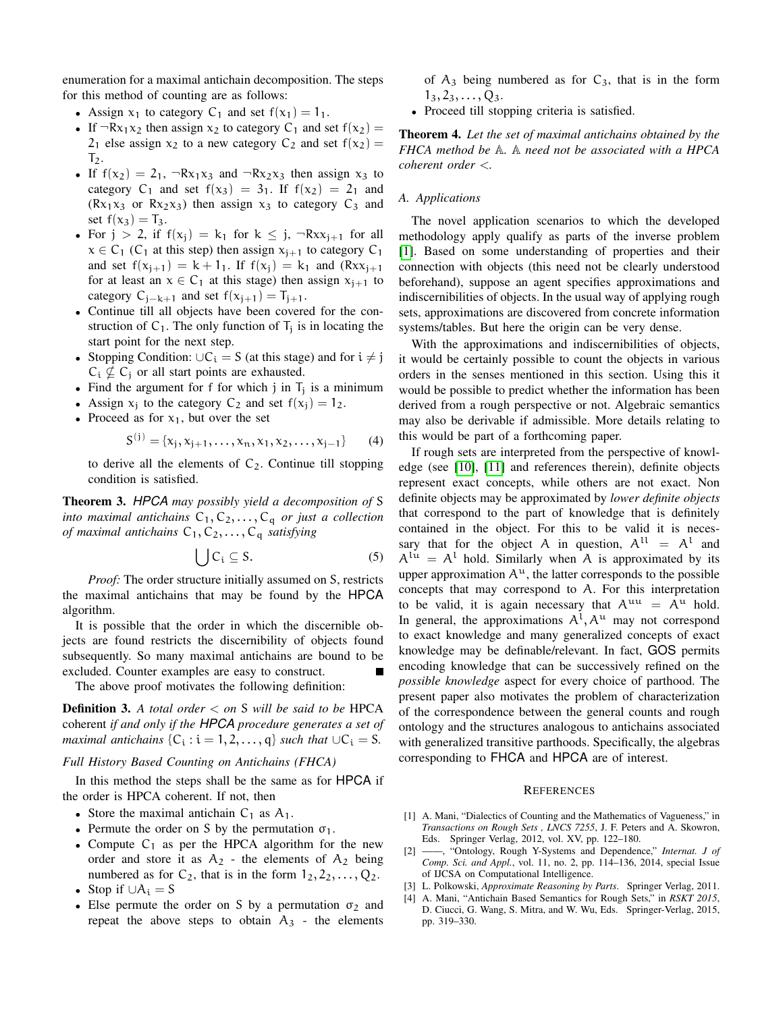enumeration for a maximal antichain decomposition. The steps for this method of counting are as follows:

- Assign  $x_1$  to category  $C_1$  and set  $f(x_1) = 1_1$ .
- If  $\neg Rx_1x_2$  then assign  $x_2$  to category  $C_1$  and set  $f(x_2) =$  $2_1$  else assign  $x_2$  to a new category  $C_2$  and set  $f(x_2) =$  $T_2$ .
- If  $f(x_2) = 2_1$ ,  $\neg Rx_1x_3$  and  $\neg Rx_2x_3$  then assign  $x_3$  to category C<sub>1</sub> and set  $f(x_3) = 3_1$ . If  $f(x_2) = 2_1$  and  $(Rx_1x_3$  or  $Rx_2x_3)$  then assign  $x_3$  to category  $C_3$  and set  $f(x_3) = T_3$ .
- For  $j > 2$ , if  $f(x_i) = k_1$  for  $k \leq j$ ,  $\neg Rxx_{i+1}$  for all  $x \in C_1$  (C<sub>1</sub> at this step) then assign  $x_{j+1}$  to category C<sub>1</sub> and set  $f(x_{j+1}) = k + 1_1$ . If  $f(x_j) = k_1$  and  $(Rxx_{j+1})$ for at least an  $x \in C_1$  at this stage) then assign  $x_{j+1}$  to category  $C_{j-k+1}$  and set  $f(x_{j+1}) = T_{j+1}$ .
- Continue till all objects have been covered for the construction of  $C_1$ . The only function of  $T_i$  is in locating the start point for the next step.
- Stopping Condition:  $\cup C_i = S$  (at this stage) and for  $i \neq j$  $C_i \nsubseteq C_j$  or all start points are exhausted.
- Find the argument for f for which j in  $T_i$  is a minimum
- Assign  $x_i$  to the category  $C_2$  and set  $f(x_i) = 1_2$ .
- Proceed as for  $x_1$ , but over the set

$$
S^{(j)} = \{x_j, x_{j+1}, \dots, x_n, x_1, x_2, \dots, x_{j-1}\}
$$
 (4)

to derive all the elements of  $C_2$ . Continue till stopping condition is satisfied.

Theorem 3. *HPCA may possibly yield a decomposition of* S *into maximal antichains*  $C_1, C_2, \ldots, C_q$  *or just a collection of maximal antichains* C1, C2, . . . , C<sup>q</sup> *satisfying*

$$
\bigcup C_i \subseteq S. \tag{5}
$$

*Proof:* The order structure initially assumed on S, restricts the maximal antichains that may be found by the HPCA algorithm.

It is possible that the order in which the discernible objects are found restricts the discernibility of objects found subsequently. So many maximal antichains are bound to be excluded. Counter examples are easy to construct.

The above proof motivates the following definition:

Definition 3. *A total order* < *on* S *will be said to be* HPCA coherent *if and only if the HPCA procedure generates a set of maximal antichains*  $\{C_i : i = 1, 2, ..., q\}$  *such that*  $\cup C_i = S$ .

#### *Full History Based Counting on Antichains (FHCA)*

In this method the steps shall be the same as for HPCA if the order is HPCA coherent. If not, then

- Store the maximal antichain  $C_1$  as  $A_1$ .
- Permute the order on S by the permutation  $\sigma_1$ .
- Compute  $C_1$  as per the HPCA algorithm for the new order and store it as  $A_2$  - the elements of  $A_2$  being numbered as for  $C_2$ , that is in the form  $1_2, 2_2, \ldots, Q_2$ .
- Stop if  $\cup A_i = S$
- Else permute the order on S by a permutation  $\sigma_2$  and repeat the above steps to obtain  $A_3$  - the elements

of  $A_3$  being numbered as for  $C_3$ , that is in the form  $1_3, 2_3, \ldots, Q_3$ .

• Proceed till stopping criteria is satisfied.

Theorem 4. *Let the set of maximal antichains obtained by the FHCA method be* A*.* A *need not be associated with a HPCA coherent order* <*.*

### *A. Applications*

The novel application scenarios to which the developed methodology apply qualify as parts of the inverse problem [\[1\]](#page-3-0). Based on some understanding of properties and their connection with objects (this need not be clearly understood beforehand), suppose an agent specifies approximations and indiscernibilities of objects. In the usual way of applying rough sets, approximations are discovered from concrete information systems/tables. But here the origin can be very dense.

With the approximations and indiscernibilities of objects, it would be certainly possible to count the objects in various orders in the senses mentioned in this section. Using this it would be possible to predict whether the information has been derived from a rough perspective or not. Algebraic semantics may also be derivable if admissible. More details relating to this would be part of a forthcoming paper.

If rough sets are interpreted from the perspective of knowledge (see [\[10\]](#page-4-5), [\[11\]](#page-4-6) and references therein), definite objects represent exact concepts, while others are not exact. Non definite objects may be approximated by *lower definite objects* that correspond to the part of knowledge that is definitely contained in the object. For this to be valid it is necessary that for the object A in question,  $A^{11} = A^1$  and  $A^{lu} = A^l$  hold. Similarly when A is approximated by its upper approximation  $A<sup>u</sup>$ , the latter corresponds to the possible concepts that may correspond to A. For this interpretation to be valid, it is again necessary that  $A^{uu} = A^u$  hold. In general, the approximations  $A^1$ ,  $A^u$  may not correspond to exact knowledge and many generalized concepts of exact knowledge may be definable/relevant. In fact, GOS permits encoding knowledge that can be successively refined on the *possible knowledge* aspect for every choice of parthood. The present paper also motivates the problem of characterization of the correspondence between the general counts and rough ontology and the structures analogous to antichains associated with generalized transitive parthoods. Specifically, the algebras corresponding to FHCA and HPCA are of interest.

#### **REFERENCES**

- <span id="page-3-0"></span>[1] A. Mani, "Dialectics of Counting and the Mathematics of Vagueness," in *Transactions on Rough Sets , LNCS 7255*, J. F. Peters and A. Skowron, Eds. Springer Verlag, 2012, vol. XV, pp. 122–180.
- <span id="page-3-1"></span>[2] ——, "Ontology, Rough Y-Systems and Dependence," *Internat. J of Comp. Sci. and Appl.*, vol. 11, no. 2, pp. 114–136, 2014, special Issue of IJCSA on Computational Intelligence.
- <span id="page-3-2"></span>[3] L. Polkowski, *Approximate Reasoning by Parts*. Springer Verlag, 2011.
- <span id="page-3-3"></span>[4] A. Mani, "Antichain Based Semantics for Rough Sets," in *RSKT 2015*, D. Ciucci, G. Wang, S. Mitra, and W. Wu, Eds. Springer-Verlag, 2015, pp. 319–330.